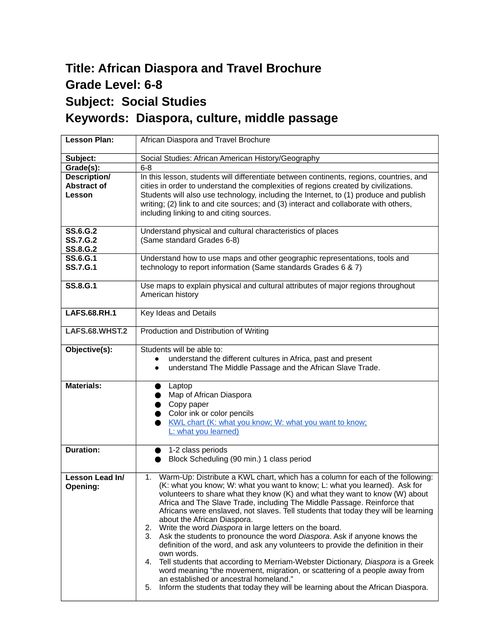## **Title: African Diaspora and Travel Brochure Grade Level: 6-8 Subject: Social Studies Keywords: Diaspora, culture, middle passage**

| <b>Lesson Plan:</b>                                   | African Diaspora and Travel Brochure                                                                                                                                                                                                                                                                                                                                                                                                                                                                                                                                                                                                                                                                                                                                                                                                                                                                                                                                                                         |
|-------------------------------------------------------|--------------------------------------------------------------------------------------------------------------------------------------------------------------------------------------------------------------------------------------------------------------------------------------------------------------------------------------------------------------------------------------------------------------------------------------------------------------------------------------------------------------------------------------------------------------------------------------------------------------------------------------------------------------------------------------------------------------------------------------------------------------------------------------------------------------------------------------------------------------------------------------------------------------------------------------------------------------------------------------------------------------|
| Subject:                                              | Social Studies: African American History/Geography                                                                                                                                                                                                                                                                                                                                                                                                                                                                                                                                                                                                                                                                                                                                                                                                                                                                                                                                                           |
| Grade(s):                                             | $6-8$                                                                                                                                                                                                                                                                                                                                                                                                                                                                                                                                                                                                                                                                                                                                                                                                                                                                                                                                                                                                        |
| <b>Description/</b><br><b>Abstract of</b><br>Lesson   | In this lesson, students will differentiate between continents, regions, countries, and<br>cities in order to understand the complexities of regions created by civilizations.<br>Students will also use technology, including the Internet, to (1) produce and publish<br>writing; (2) link to and cite sources; and (3) interact and collaborate with others,<br>including linking to and citing sources.                                                                                                                                                                                                                                                                                                                                                                                                                                                                                                                                                                                                  |
| <b>SS.6.G.2</b><br><b>SS.7.G.2</b><br><b>SS.8.G.2</b> | Understand physical and cultural characteristics of places<br>(Same standard Grades 6-8)                                                                                                                                                                                                                                                                                                                                                                                                                                                                                                                                                                                                                                                                                                                                                                                                                                                                                                                     |
| <b>SS.6.G.1</b><br><b>SS.7.G.1</b>                    | Understand how to use maps and other geographic representations, tools and<br>technology to report information (Same standards Grades 6 & 7)                                                                                                                                                                                                                                                                                                                                                                                                                                                                                                                                                                                                                                                                                                                                                                                                                                                                 |
| <b>SS.8.G.1</b>                                       | Use maps to explain physical and cultural attributes of major regions throughout<br>American history                                                                                                                                                                                                                                                                                                                                                                                                                                                                                                                                                                                                                                                                                                                                                                                                                                                                                                         |
| <b>LAFS.68.RH.1</b>                                   | Key Ideas and Details                                                                                                                                                                                                                                                                                                                                                                                                                                                                                                                                                                                                                                                                                                                                                                                                                                                                                                                                                                                        |
| LAFS.68.WHST.2                                        | Production and Distribution of Writing                                                                                                                                                                                                                                                                                                                                                                                                                                                                                                                                                                                                                                                                                                                                                                                                                                                                                                                                                                       |
| Objective(s):                                         | Students will be able to:<br>understand the different cultures in Africa, past and present<br>understand The Middle Passage and the African Slave Trade.                                                                                                                                                                                                                                                                                                                                                                                                                                                                                                                                                                                                                                                                                                                                                                                                                                                     |
| <b>Materials:</b>                                     | Laptop<br>Map of African Diaspora<br>$\bullet$ Copy paper<br>Color ink or color pencils<br>KWL chart (K: what you know; W: what you want to know;<br>L: what you learned)                                                                                                                                                                                                                                                                                                                                                                                                                                                                                                                                                                                                                                                                                                                                                                                                                                    |
| <b>Duration:</b>                                      | 1-2 class periods<br>Block Scheduling (90 min.) 1 class period                                                                                                                                                                                                                                                                                                                                                                                                                                                                                                                                                                                                                                                                                                                                                                                                                                                                                                                                               |
| Lesson Lead In/<br>Opening:                           | 1. Warm-Up: Distribute a KWL chart, which has a column for each of the following:<br>(K: what you know; W: what you want to know; L: what you learned). Ask for<br>volunteers to share what they know (K) and what they want to know (W) about<br>Africa and The Slave Trade, including The Middle Passage. Reinforce that<br>Africans were enslaved, not slaves. Tell students that today they will be learning<br>about the African Diaspora.<br>Write the word Diaspora in large letters on the board.<br>2.<br>3. Ask the students to pronounce the word Diaspora. Ask if anyone knows the<br>definition of the word, and ask any volunteers to provide the definition in their<br>own words.<br>Tell students that according to Merriam-Webster Dictionary, Diaspora is a Greek<br>4.<br>word meaning "the movement, migration, or scattering of a people away from<br>an established or ancestral homeland."<br>Inform the students that today they will be learning about the African Diaspora.<br>5. |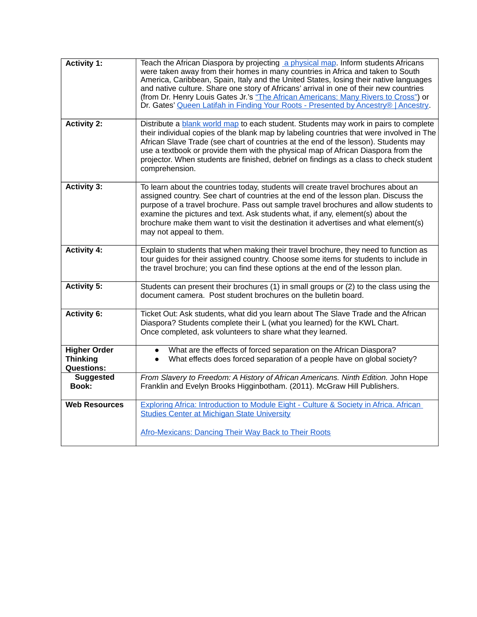| <b>Activity 1:</b>                                          | Teach the African Diaspora by projecting a physical map. Inform students Africans<br>were taken away from their homes in many countries in Africa and taken to South<br>America, Caribbean, Spain, Italy and the United States, losing their native languages<br>and native culture. Share one story of Africans' arrival in one of their new countries<br>(from Dr. Henry Louis Gates Jr.'s "The African Americans: Many Rivers to Cross") or<br>Dr. Gates' Queen Latifah in Finding Your Roots - Presented by Ancestry®   Ancestry. |
|-------------------------------------------------------------|---------------------------------------------------------------------------------------------------------------------------------------------------------------------------------------------------------------------------------------------------------------------------------------------------------------------------------------------------------------------------------------------------------------------------------------------------------------------------------------------------------------------------------------|
| <b>Activity 2:</b>                                          | Distribute a blank world map to each student. Students may work in pairs to complete<br>their individual copies of the blank map by labeling countries that were involved in The<br>African Slave Trade (see chart of countries at the end of the lesson). Students may<br>use a textbook or provide them with the physical map of African Diaspora from the<br>projector. When students are finished, debrief on findings as a class to check student<br>comprehension.                                                              |
| <b>Activity 3:</b>                                          | To learn about the countries today, students will create travel brochures about an<br>assigned country. See chart of countries at the end of the lesson plan. Discuss the<br>purpose of a travel brochure. Pass out sample travel brochures and allow students to<br>examine the pictures and text. Ask students what, if any, element(s) about the<br>brochure make them want to visit the destination it advertises and what element(s)<br>may not appeal to them.                                                                  |
| <b>Activity 4:</b>                                          | Explain to students that when making their travel brochure, they need to function as<br>tour guides for their assigned country. Choose some items for students to include in<br>the travel brochure; you can find these options at the end of the lesson plan.                                                                                                                                                                                                                                                                        |
| <b>Activity 5:</b>                                          | Students can present their brochures (1) in small groups or (2) to the class using the<br>document camera. Post student brochures on the bulletin board.                                                                                                                                                                                                                                                                                                                                                                              |
| <b>Activity 6:</b>                                          | Ticket Out: Ask students, what did you learn about The Slave Trade and the African<br>Diaspora? Students complete their L (what you learned) for the KWL Chart.<br>Once completed, ask volunteers to share what they learned.                                                                                                                                                                                                                                                                                                         |
| <b>Higher Order</b><br><b>Thinking</b><br><b>Questions:</b> | What are the effects of forced separation on the African Diaspora?<br>$\bullet$<br>What effects does forced separation of a people have on global society?                                                                                                                                                                                                                                                                                                                                                                            |
| <b>Suggested</b><br><b>Book:</b>                            | From Slavery to Freedom: A History of African Americans. Ninth Edition. John Hope<br>Franklin and Evelyn Brooks Higginbotham. (2011). McGraw Hill Publishers.                                                                                                                                                                                                                                                                                                                                                                         |
| <b>Web Resources</b>                                        | Exploring Africa: Introduction to Module Eight - Culture & Society in Africa. African<br><b>Studies Center at Michigan State University</b><br>Afro-Mexicans: Dancing Their Way Back to Their Roots                                                                                                                                                                                                                                                                                                                                   |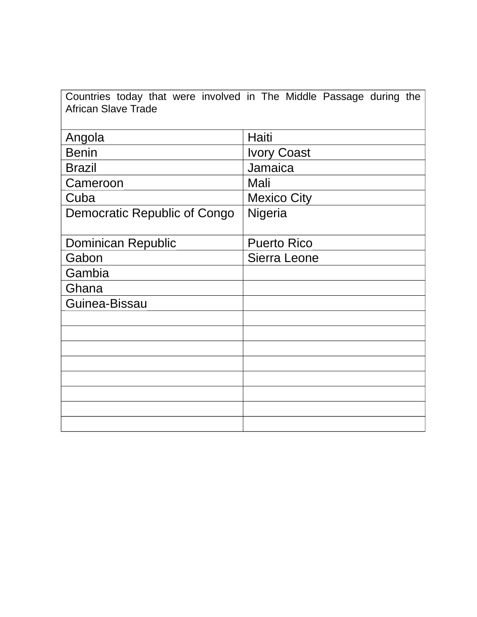Countries today that were involved in The Middle Passage during the African Slave Trade

| Haiti              |
|--------------------|
| <b>Ivory Coast</b> |
| Jamaica            |
| Mali               |
| <b>Mexico City</b> |
| Nigeria            |
|                    |
| <b>Puerto Rico</b> |
| Sierra Leone       |
|                    |
|                    |
|                    |
|                    |
|                    |
|                    |
|                    |
|                    |
|                    |
|                    |
|                    |
|                    |